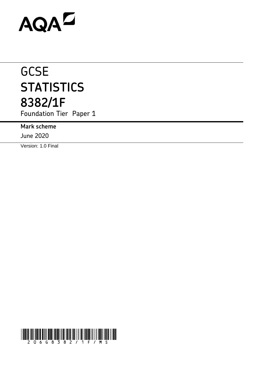# AQAZ

## **GCSE STATISTICS 8382/1F**

Foundation Tier Paper 1

**Mark scheme**

June 2020

Version: 1.0 Final

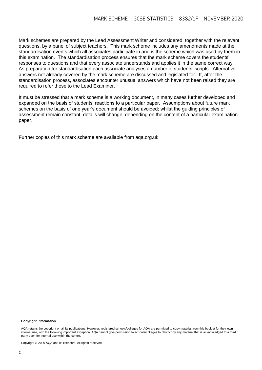Mark schemes are prepared by the Lead Assessment Writer and considered, together with the relevant questions, by a panel of subject teachers. This mark scheme includes any amendments made at the standardisation events which all associates participate in and is the scheme which was used by them in this examination. The standardisation process ensures that the mark scheme covers the students' responses to questions and that every associate understands and applies it in the same correct way. As preparation for standardisation each associate analyses a number of students' scripts. Alternative answers not already covered by the mark scheme are discussed and legislated for. If, after the standardisation process, associates encounter unusual answers which have not been raised they are required to refer these to the Lead Examiner.

It must be stressed that a mark scheme is a working document, in many cases further developed and expanded on the basis of students' reactions to a particular paper. Assumptions about future mark schemes on the basis of one year's document should be avoided; whilst the guiding principles of assessment remain constant, details will change, depending on the content of a particular examination paper.

Further copies of this mark scheme are available from aqa.org.uk

#### **Copyright information**

AQA retains the copyright on all its publications. However, registered schools/colleges for AQA are permitted to copy material from this booklet for their own internal use, with the following important exception: AQA cannot give permission to schools/colleges to photocopy any material that is acknowledged to a third party even for internal use within the centre.

Copyright © 2020 AQA and its licensors. All rights reserved.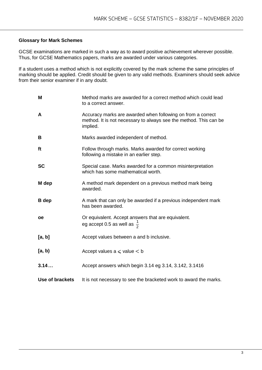### **Glossary for Mark Schemes**

GCSE examinations are marked in such a way as to award positive achievement wherever possible. Thus, for GCSE Mathematics papers, marks are awarded under various categories.

If a student uses a method which is not explicitly covered by the mark scheme the same principles of marking should be applied. Credit should be given to any valid methods. Examiners should seek advice from their senior examiner if in any doubt.

| M                      | Method marks are awarded for a correct method which could lead<br>to a correct answer.                                                       |
|------------------------|----------------------------------------------------------------------------------------------------------------------------------------------|
| A                      | Accuracy marks are awarded when following on from a correct<br>method. It is not necessary to always see the method. This can be<br>implied. |
| B                      | Marks awarded independent of method.                                                                                                         |
| ft                     | Follow through marks. Marks awarded for correct working<br>following a mistake in an earlier step.                                           |
| <b>SC</b>              | Special case. Marks awarded for a common misinterpretation<br>which has some mathematical worth.                                             |
| M dep                  | A method mark dependent on a previous method mark being<br>awarded.                                                                          |
| <b>B</b> dep           | A mark that can only be awarded if a previous independent mark<br>has been awarded.                                                          |
| oe                     | Or equivalent. Accept answers that are equivalent.<br>eg accept 0.5 as well as $\frac{1}{2}$                                                 |
| [a, b]                 | Accept values between a and b inclusive.                                                                                                     |
| [a, b)                 | Accept values $a \leqslant$ value $\leq b$                                                                                                   |
| 3.14                   | Accept answers which begin 3.14 eg 3.14, 3.142, 3.1416                                                                                       |
| <b>Use of brackets</b> | It is not necessary to see the bracketed work to award the marks.                                                                            |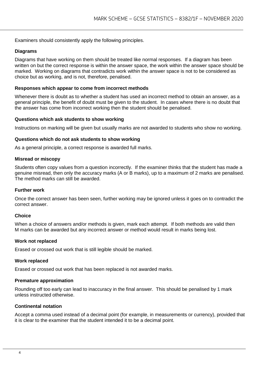Examiners should consistently apply the following principles.

#### **Diagrams**

Diagrams that have working on them should be treated like normal responses. If a diagram has been written on but the correct response is within the answer space, the work within the answer space should be marked. Working on diagrams that contradicts work within the answer space is not to be considered as choice but as working, and is not, therefore, penalised.

#### **Responses which appear to come from incorrect methods**

Whenever there is doubt as to whether a student has used an incorrect method to obtain an answer, as a general principle, the benefit of doubt must be given to the student. In cases where there is no doubt that the answer has come from incorrect working then the student should be penalised.

#### **Questions which ask students to show working**

Instructions on marking will be given but usually marks are not awarded to students who show no working.

#### **Questions which do not ask students to show working**

As a general principle, a correct response is awarded full marks.

#### **Misread or miscopy**

Students often copy values from a question incorrectly. If the examiner thinks that the student has made a genuine misread, then only the accuracy marks (A or B marks), up to a maximum of 2 marks are penalised. The method marks can still be awarded.

#### **Further work**

Once the correct answer has been seen, further working may be ignored unless it goes on to contradict the correct answer.

#### **Choice**

When a choice of answers and/or methods is given, mark each attempt. If both methods are valid then M marks can be awarded but any incorrect answer or method would result in marks being lost.

#### **Work not replaced**

Erased or crossed out work that is still legible should be marked.

#### **Work replaced**

Erased or crossed out work that has been replaced is not awarded marks.

#### **Premature approximation**

Rounding off too early can lead to inaccuracy in the final answer. This should be penalised by 1 mark unless instructed otherwise.

#### **Continental notation**

Accept a comma used instead of a decimal point (for example, in measurements or currency), provided that it is clear to the examiner that the student intended it to be a decimal point.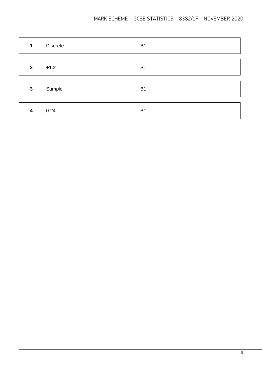| $\mathbf{1}$            | <b>Discrete</b> | B <sub>1</sub> |  |
|-------------------------|-----------------|----------------|--|
|                         |                 |                |  |
| $\mathbf{2}$            | $+1.2$          | B <sub>1</sub> |  |
|                         |                 |                |  |
| $\mathbf{3}$            | Sample          | B <sub>1</sub> |  |
|                         |                 |                |  |
| $\overline{\mathbf{4}}$ | 0.24            | B <sub>1</sub> |  |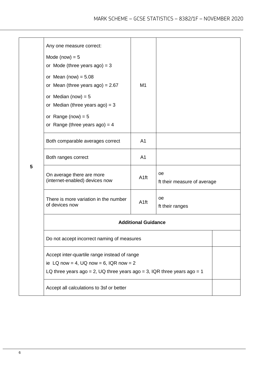|   | Any one measure correct:<br>Mode (now) $= 5$<br>or Mode (three years $ago$ ) = 3<br>or Mean (now) = $5.08$<br>or Mean (three years ago) = $2.67$<br>or Median (now) = $5$<br>or Median (three years $ago$ ) = 3<br>or Range (now) = $5$<br>or Range (three years $ago$ ) = 4 | M1               |                                   |  |
|---|------------------------------------------------------------------------------------------------------------------------------------------------------------------------------------------------------------------------------------------------------------------------------|------------------|-----------------------------------|--|
|   | Both comparable averages correct                                                                                                                                                                                                                                             | A <sub>1</sub>   |                                   |  |
|   | Both ranges correct                                                                                                                                                                                                                                                          | A <sub>1</sub>   |                                   |  |
| 5 | On average there are more<br>(internet-enabled) devices now                                                                                                                                                                                                                  | A <sub>1ft</sub> | oe<br>ft their measure of average |  |
|   | There is more variation in the number<br>of devices now                                                                                                                                                                                                                      | A <sub>1ft</sub> | oe<br>ft their ranges             |  |
|   | <b>Additional Guidance</b>                                                                                                                                                                                                                                                   |                  |                                   |  |
|   | Do not accept incorrect naming of measures                                                                                                                                                                                                                                   |                  |                                   |  |
|   | Accept inter-quartile range instead of range<br>ie LQ now = 4, UQ now = 6, IQR now = 2<br>LQ three years ago = 2, UQ three years ago = 3, IQR three years ago = 1                                                                                                            |                  |                                   |  |
|   | Accept all calculations to 3sf or better                                                                                                                                                                                                                                     |                  |                                   |  |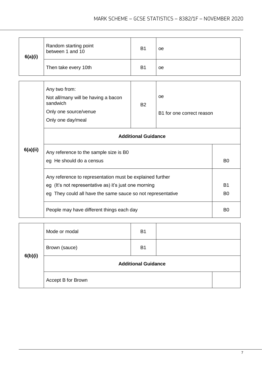| 6(a)(i)  | Random starting point<br>between 1 and 10                   | <b>B1</b>      | 0e                        |                |  |
|----------|-------------------------------------------------------------|----------------|---------------------------|----------------|--|
|          | Then take every 10th                                        | B <sub>1</sub> | 0e                        |                |  |
|          |                                                             |                |                           |                |  |
|          | Any two from:                                               |                |                           |                |  |
|          | Not all/many will be having a bacon<br>sandwich             | <b>B2</b>      | oe                        |                |  |
|          | Only one source/venue                                       |                | B1 for one correct reason |                |  |
|          | Only one day/meal                                           |                |                           |                |  |
|          | <b>Additional Guidance</b>                                  |                |                           |                |  |
| 6(a)(ii) | Any reference to the sample size is B0                      |                |                           |                |  |
|          | eg He should do a census                                    |                |                           | B <sub>0</sub> |  |
|          | Any reference to representation must be explained further   |                |                           |                |  |
|          | eg (It's not representative as) it's just one morning       |                |                           |                |  |
|          | eg They could all have the same sauce so not representative |                |                           | B <sub>0</sub> |  |
|          | People may have different things each day                   |                |                           |                |  |

| 6(b)(i) | Mode or modal              | <b>B1</b> |  |  |
|---------|----------------------------|-----------|--|--|
|         | Brown (sauce)              | <b>B1</b> |  |  |
|         | <b>Additional Guidance</b> |           |  |  |
|         | Accept B for Brown         |           |  |  |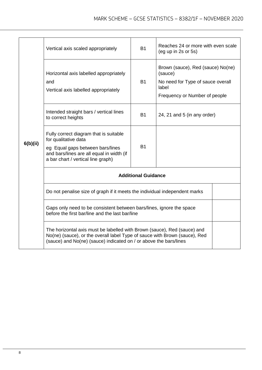| 6(b)(ii) | Vertical axis scaled appropriately                                                                                                                                                                                          | <b>B1</b> | Reaches 24 or more with even scale<br>$($ eg up in 2s or 5s $)$                                                             |  |  |
|----------|-----------------------------------------------------------------------------------------------------------------------------------------------------------------------------------------------------------------------------|-----------|-----------------------------------------------------------------------------------------------------------------------------|--|--|
|          | Horizontal axis labelled appropriately<br>and<br>Vertical axis labelled appropriately                                                                                                                                       | <b>B1</b> | Brown (sauce), Red (sauce) No(ne)<br>(sauce)<br>No need for Type of sauce overall<br>lahel<br>Frequency or Number of people |  |  |
|          | Intended straight bars / vertical lines<br>to correct heights                                                                                                                                                               | <b>B1</b> | 24, 21 and 5 (in any order)                                                                                                 |  |  |
|          | Fully correct diagram that is suitable<br>for qualitative data<br>eg Equal gaps between bars/lines<br>and bars/lines are all equal in width (if<br>a bar chart / vertical line graph)                                       | <b>B1</b> |                                                                                                                             |  |  |
|          | <b>Additional Guidance</b>                                                                                                                                                                                                  |           |                                                                                                                             |  |  |
|          | Do not penalise size of graph if it meets the individual independent marks                                                                                                                                                  |           |                                                                                                                             |  |  |
|          | Gaps only need to be consistent between bars/lines, ignore the space<br>before the first bar/line and the last bar/line                                                                                                     |           |                                                                                                                             |  |  |
|          | The horizontal axis must be labelled with Brown (sauce), Red (sauce) and<br>No(ne) (sauce), or the overall label Type of sauce with Brown (sauce), Red<br>(sauce) and No(ne) (sauce) indicated on / or above the bars/lines |           |                                                                                                                             |  |  |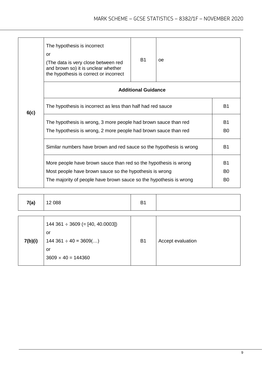|      | The hypothesis is incorrect<br>or<br>(The data is very close between red<br>and brown so) it is unclear whether<br>the hypothesis is correct or incorrect                                         | <b>B1</b>                  | oe |                                                    |
|------|---------------------------------------------------------------------------------------------------------------------------------------------------------------------------------------------------|----------------------------|----|----------------------------------------------------|
|      |                                                                                                                                                                                                   | <b>Additional Guidance</b> |    |                                                    |
|      | The hypothesis is incorrect as less than half had red sauce                                                                                                                                       |                            |    | <b>B1</b>                                          |
|      | The hypothesis is wrong, 3 more people had brown sauce than red<br>The hypothesis is wrong, 2 more people had brown sauce than red                                                                |                            |    | <b>B1</b><br>B <sub>0</sub>                        |
|      | Similar numbers have brown and red sauce so the hypothesis is wrong                                                                                                                               |                            |    | <b>B1</b>                                          |
|      | More people have brown sauce than red so the hypothesis is wrong<br>Most people have brown sauce so the hypothesis is wrong<br>The majority of people have brown sauce so the hypothesis is wrong |                            |    | B <sub>1</sub><br>B <sub>0</sub><br>B <sub>0</sub> |
| 6(c) |                                                                                                                                                                                                   |                            |    |                                                    |

| 7(a)    | 12 088                                                                                                          | <b>B1</b> |                   |
|---------|-----------------------------------------------------------------------------------------------------------------|-----------|-------------------|
| 7(b)(i) | $144\,361 \div 3609$ (= [40, 40.0003])<br>or<br>$144\,361 \div 40 = 3609$ ()<br>or<br>$3609 \times 40 = 144360$ | <b>B1</b> | Accept evaluation |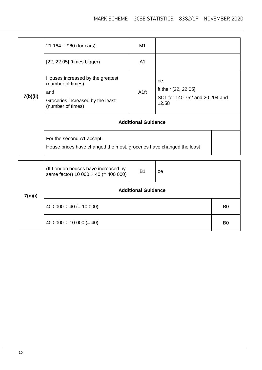| 7(b)(ii) | 21 164 $\div$ 960 (for cars)                                                                                          | M1               |                                                                       |  |
|----------|-----------------------------------------------------------------------------------------------------------------------|------------------|-----------------------------------------------------------------------|--|
|          | $[22, 22.05]$ (times bigger)                                                                                          | A1               |                                                                       |  |
|          | Houses increased by the greatest<br>(number of times)<br>and<br>Groceries increased by the least<br>(number of times) | A <sub>1ft</sub> | 0e<br>ft their [22, 22.05]<br>SC1 for 140 752 and 20 204 and<br>12.58 |  |
|          | <b>Additional Guidance</b>                                                                                            |                  |                                                                       |  |
|          | For the second A1 accept:<br>House prices have changed the most, groceries have changed the least                     |                  |                                                                       |  |

|         | (If London houses have increased by<br>same factor) 10 000 $\times$ 40 (= 400 000) | <b>B1</b> | oe |                |  |
|---------|------------------------------------------------------------------------------------|-----------|----|----------------|--|
| 7(c)(i) | <b>Additional Guidance</b>                                                         |           |    |                |  |
|         | $400\,000 \div 40 (= 10\,000)$                                                     |           |    | B <sub>0</sub> |  |
|         | $400 000 \div 10 000 (= 40)$                                                       |           |    | B <sub>0</sub> |  |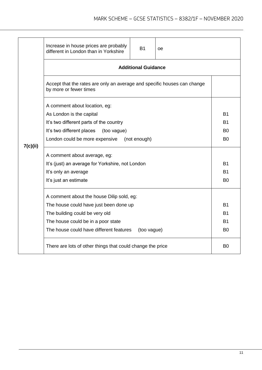|  | Increase in house prices are probably<br>different in London than in Yorkshire                                                                                                | <b>B1</b>   | oe |                |  |  |
|--|-------------------------------------------------------------------------------------------------------------------------------------------------------------------------------|-------------|----|----------------|--|--|
|  | <b>Additional Guidance</b><br>Accept that the rates are only an average and specific houses can change<br>by more or fewer times                                              |             |    |                |  |  |
|  |                                                                                                                                                                               |             |    |                |  |  |
|  | A comment about location, eg:                                                                                                                                                 |             |    |                |  |  |
|  | As London is the capital                                                                                                                                                      |             |    | B1             |  |  |
|  | It's two different parts of the country                                                                                                                                       |             |    | B1             |  |  |
|  | It's two different places<br>(too vague)                                                                                                                                      |             |    |                |  |  |
|  | London could be more expensive<br>(not enough)<br>B <sub>0</sub><br>7(c)(ii)<br>A comment about average, eg:<br><b>B1</b><br>It's (just) an average for Yorkshire, not London |             |    |                |  |  |
|  |                                                                                                                                                                               |             |    |                |  |  |
|  |                                                                                                                                                                               |             |    |                |  |  |
|  | It's only an average<br>B1                                                                                                                                                    |             |    |                |  |  |
|  | It's just an estimate                                                                                                                                                         |             |    | B <sub>0</sub> |  |  |
|  | A comment about the house Dilip sold, eg:                                                                                                                                     |             |    |                |  |  |
|  | The house could have just been done up                                                                                                                                        |             |    | <b>B1</b>      |  |  |
|  | The building could be very old                                                                                                                                                |             |    |                |  |  |
|  | The house could be in a poor state                                                                                                                                            |             |    |                |  |  |
|  | The house could have different features                                                                                                                                       | (too vague) |    | B <sub>0</sub> |  |  |
|  | There are lots of other things that could change the price                                                                                                                    |             |    | B <sub>0</sub> |  |  |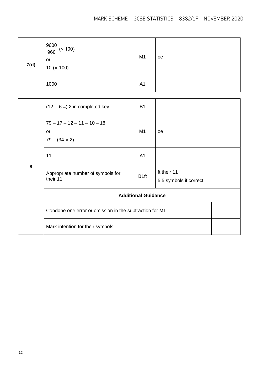| 7(d) | $\frac{9600}{960}$ (× 100)<br>or<br>10 (× 100) | M <sub>1</sub> | oe |
|------|------------------------------------------------|----------------|----|
|      | 1000                                           | A <sub>1</sub> |    |

|   | $(12 \div 6 = 2$ in completed key                           | <b>B1</b>                  |                                       |
|---|-------------------------------------------------------------|----------------------------|---------------------------------------|
|   | $79 - 17 - 12 - 11 - 10 - 18$<br>or<br>$79 - (34 \times 2)$ | M1                         | oe                                    |
|   | 11                                                          | A <sub>1</sub>             |                                       |
| 8 | Appropriate number of symbols for<br>their 11               | B <sub>1ft</sub>           | ft their 11<br>5.5 symbols if correct |
|   |                                                             | <b>Additional Guidance</b> |                                       |
|   | Condone one error or omission in the subtraction for M1     |                            |                                       |
|   | Mark intention for their symbols                            |                            |                                       |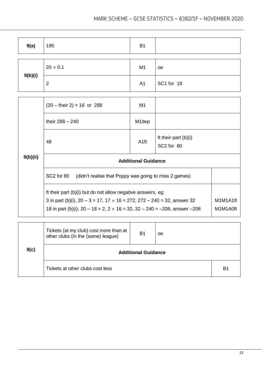| 9(a)    | 195             | B <sub>1</sub> |            |
|---------|-----------------|----------------|------------|
| 9(b)(i) | $20 \times 0.1$ | M <sub>1</sub> | oe         |
|         | $\overline{2}$  | A <sub>1</sub> | SC1 for 18 |

|          | $(20 - \text{their } 2) \times 16$ or 288                                                                                                                                                                                                       | M1                   |                                                  |  |
|----------|-------------------------------------------------------------------------------------------------------------------------------------------------------------------------------------------------------------------------------------------------|----------------------|--------------------------------------------------|--|
|          | their $288 - 240$                                                                                                                                                                                                                               | M <sub>1</sub> dep   |                                                  |  |
|          | 48                                                                                                                                                                                                                                              | A <sub>1ft</sub>     | ft their part $(b)(i)$<br>SC <sub>2</sub> for 80 |  |
| 9(b)(ii) | <b>Additional Guidance</b>                                                                                                                                                                                                                      |                      |                                                  |  |
|          | SC2 for 80<br>(didn't realise that Poppy was going to miss 2 games)                                                                                                                                                                             |                      |                                                  |  |
|          | ft their part (b)(i) but do not allow negative answers, eg:<br>3 in part (b)(i), $20 - 3 = 17$ , $17 \times 16 = 272$ , $272 - 240 = 32$ , answer 32<br>18 in part (b)(i), $20 - 18 = 2$ , $2 \times 16 = 32$ , $32 - 240 = -208$ , answer -208 | M1M1A1ft<br>M1M1A0ft |                                                  |  |

| 9(c) | Tickets (at my club) cost more than at<br>other clubs (in the (same) league) | <b>B1</b> | <sub>oe</sub> |    |
|------|------------------------------------------------------------------------------|-----------|---------------|----|
|      | <b>Additional Guidance</b>                                                   |           |               |    |
|      | Tickets at other clubs cost less                                             |           |               | B1 |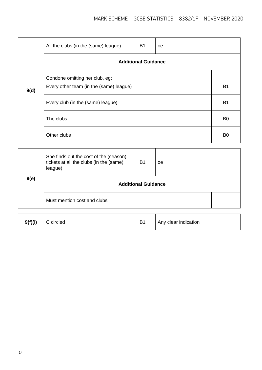|      | All the clubs (in the (same) league)                                      | <b>B1</b> | oe |                |  |
|------|---------------------------------------------------------------------------|-----------|----|----------------|--|
|      | <b>Additional Guidance</b>                                                |           |    |                |  |
| 9(d) | Condone omitting her club, eg:<br>Every other team (in the (same) league) |           |    | <b>B1</b>      |  |
|      | Every club (in the (same) league)                                         |           |    |                |  |
|      | The clubs                                                                 |           |    | B <sub>0</sub> |  |
|      | Other clubs                                                               |           |    | B <sub>0</sub> |  |

|      | She finds out the cost of the (season)<br>tickets at all the clubs (in the (same)<br>league) | <b>B1</b> | oe |  |
|------|----------------------------------------------------------------------------------------------|-----------|----|--|
| 9(e) | <b>Additional Guidance</b>                                                                   |           |    |  |
|      | Must mention cost and clubs                                                                  |           |    |  |

| 9(f)(i) | C circled | B <sub>1</sub> | Any clear indication |
|---------|-----------|----------------|----------------------|
|---------|-----------|----------------|----------------------|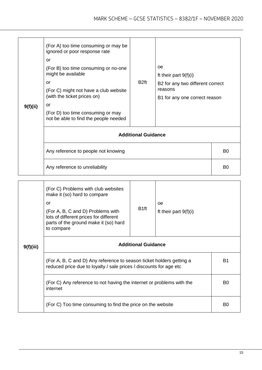| 9(f)(ii) | (For A) too time consuming or may be<br>ignored or poor response rate<br>or<br>(For B) too time consuming or no-one<br>might be available<br>or<br>(For C) might not have a club website<br>(with the ticket prices on)<br>or<br>(For D) too time consuming or may<br>not be able to find the people needed | B <sub>2ft</sub> | <b>oe</b><br>ft their part $9(f)(i)$<br>B2 for any two different correct<br>reasons<br>B1 for any one correct reason |    |  |
|----------|-------------------------------------------------------------------------------------------------------------------------------------------------------------------------------------------------------------------------------------------------------------------------------------------------------------|------------------|----------------------------------------------------------------------------------------------------------------------|----|--|
|          | <b>Additional Guidance</b>                                                                                                                                                                                                                                                                                  |                  |                                                                                                                      |    |  |
|          | Any reference to people not knowing                                                                                                                                                                                                                                                                         |                  |                                                                                                                      | B0 |  |
|          | Any reference to unreliability                                                                                                                                                                                                                                                                              |                  |                                                                                                                      |    |  |

| 9(f)(iii) | (For C) Problems with club websites<br>make it (so) hard to compare<br>or<br>(For A, B, C and D) Problems with<br>lots of different prices for different<br>parts of the ground make it (so) hard<br>to compare | B <sub>1ft</sub> | 0e<br>ft their part $9(f)(i)$ |    |  |
|-----------|-----------------------------------------------------------------------------------------------------------------------------------------------------------------------------------------------------------------|------------------|-------------------------------|----|--|
|           | <b>Additional Guidance</b>                                                                                                                                                                                      |                  |                               |    |  |
|           | (For A, B, C and D) Any reference to season ticket holders getting a<br>reduced price due to loyalty / sale prices / discounts for age etc                                                                      |                  |                               |    |  |
|           | (For C) Any reference to not having the internet or problems with the<br>internet                                                                                                                               |                  |                               |    |  |
|           | (For C) Too time consuming to find the price on the website                                                                                                                                                     |                  |                               | B0 |  |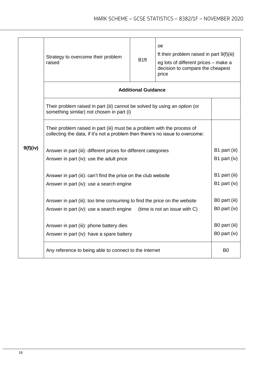|          | Strategy to overcome their problem<br>raised                                                                                                                                                                                                                                                                                                                                                                                                                                                                                                                     | oe<br>ft their problem raised in part 9(f)(iii)<br>eg lots of different prices – make a<br>decision to compare the cheapest<br>price |  |                |  |
|----------|------------------------------------------------------------------------------------------------------------------------------------------------------------------------------------------------------------------------------------------------------------------------------------------------------------------------------------------------------------------------------------------------------------------------------------------------------------------------------------------------------------------------------------------------------------------|--------------------------------------------------------------------------------------------------------------------------------------|--|----------------|--|
|          |                                                                                                                                                                                                                                                                                                                                                                                                                                                                                                                                                                  | <b>Additional Guidance</b>                                                                                                           |  |                |  |
|          | Their problem raised in part (iii) cannot be solved by using an option (or<br>something similar) not chosen in part (i)                                                                                                                                                                                                                                                                                                                                                                                                                                          |                                                                                                                                      |  |                |  |
|          | Their problem raised in part (iii) must be a problem with the process of<br>collecting the data, if it's not a problem then there's no issue to overcome:<br>Answer in part (iii): different prices for different categories<br>Answer in part (iv): use the adult price<br>Answer in part (iii): can't find the price on the club website<br>B1 part (iv)<br>Answer in part (iv): use a search engine<br>Answer in part (iii): too time consuming to find the price on the website<br>(time is not an issue with C)<br>Answer in part (iv): use a search engine |                                                                                                                                      |  |                |  |
| 9(f)(iv) |                                                                                                                                                                                                                                                                                                                                                                                                                                                                                                                                                                  |                                                                                                                                      |  |                |  |
|          |                                                                                                                                                                                                                                                                                                                                                                                                                                                                                                                                                                  |                                                                                                                                      |  |                |  |
|          |                                                                                                                                                                                                                                                                                                                                                                                                                                                                                                                                                                  |                                                                                                                                      |  |                |  |
|          | Answer in part (iii): phone battery dies<br>Answer in part (iv): have a spare battery                                                                                                                                                                                                                                                                                                                                                                                                                                                                            |                                                                                                                                      |  |                |  |
|          | Any reference to being able to connect to the internet                                                                                                                                                                                                                                                                                                                                                                                                                                                                                                           |                                                                                                                                      |  | B <sub>0</sub> |  |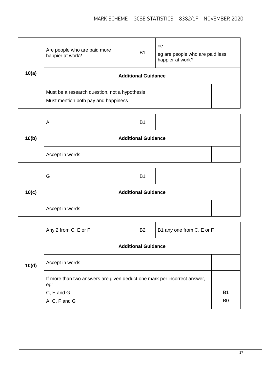| 10(a) | Are people who are paid more<br>happier at work?                                     | <b>B1</b> | oe<br>eg are people who are paid less<br>happier at work? |  |
|-------|--------------------------------------------------------------------------------------|-----------|-----------------------------------------------------------|--|
|       | <b>Additional Guidance</b>                                                           |           |                                                           |  |
|       | Must be a research question, not a hypothesis<br>Must mention both pay and happiness |           |                                                           |  |

|       | A                          | B <sub>1</sub> |  |  |
|-------|----------------------------|----------------|--|--|
| 10(b) | <b>Additional Guidance</b> |                |  |  |
|       | Accept in words            |                |  |  |

|       | G                          | B <sub>1</sub> |  |  |
|-------|----------------------------|----------------|--|--|
| 10(c) | <b>Additional Guidance</b> |                |  |  |
|       | Accept in words            |                |  |  |

|       | Any 2 from C, E or F<br><b>B2</b><br>B1 any one from C, E or F                  |  |  |                |  |
|-------|---------------------------------------------------------------------------------|--|--|----------------|--|
|       | <b>Additional Guidance</b>                                                      |  |  |                |  |
| 10(d) | Accept in words                                                                 |  |  |                |  |
|       | If more than two answers are given deduct one mark per incorrect answer,<br>eg: |  |  |                |  |
|       |                                                                                 |  |  | B <sub>1</sub> |  |
|       | C, E and G<br>A, C, F and G                                                     |  |  | B <sub>0</sub> |  |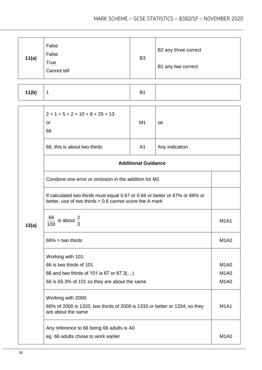| 11(a)                                                                                                                                    | False<br>False<br><b>True</b><br>Cannot tell                                                                           | B <sub>3</sub> | B2 any three correct<br>B1 any two correct |                               |
|------------------------------------------------------------------------------------------------------------------------------------------|------------------------------------------------------------------------------------------------------------------------|----------------|--------------------------------------------|-------------------------------|
| 11(b)                                                                                                                                    | 1                                                                                                                      | <b>B1</b>      |                                            |                               |
|                                                                                                                                          | $2 + 1 + 5 + 2 + 10 + 8 + 25 + 13$<br>or<br>66                                                                         | M <sub>1</sub> | оe                                         |                               |
|                                                                                                                                          | A <sub>1</sub><br>Any indication<br>66, this is about two-thirds                                                       |                |                                            |                               |
|                                                                                                                                          | <b>Additional Guidance</b>                                                                                             |                |                                            |                               |
|                                                                                                                                          | Condone one error or omission in the addition for M1                                                                   |                |                                            |                               |
| If calculated two thirds must equal 0.67 or 0.66 or better or 67% or 66% or<br>better, use of two thirds $= 0.6$ cannot score the A mark |                                                                                                                        |                |                                            |                               |
| 12(a)                                                                                                                                    | 66<br>$\frac{1}{2}$ is about $\frac{2}{3}$<br>100                                                                      |                |                                            |                               |
|                                                                                                                                          | $66\%$ = two thirds                                                                                                    |                |                                            | M <sub>1</sub> A <sub>0</sub> |
|                                                                                                                                          | Working with 101:                                                                                                      |                |                                            | <b>M1A0</b>                   |
|                                                                                                                                          | 66 is two thirds of 101<br>66 and two thirds of 101 is 67 or 67.3()<br>66 is 65.3% of 101 so they are about the same   |                |                                            |                               |
|                                                                                                                                          |                                                                                                                        |                |                                            |                               |
|                                                                                                                                          | Working with 2000:<br>66% of 2000 is 1320, two thirds of 2000 is 1333 or better or 1334, so they<br>are about the same |                |                                            | <b>M1A1</b>                   |
|                                                                                                                                          | Any reference to 66 being 66 adults is A0<br>eg 66 adults chose to work earlier                                        |                |                                            | M <sub>1</sub> A <sub>0</sub> |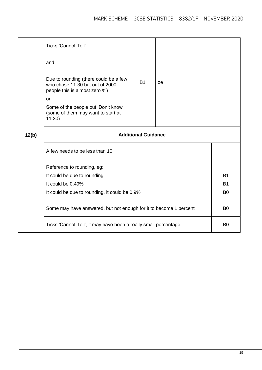|       | <b>Ticks 'Cannot Tell'</b>                                                                                |           |           |                |
|-------|-----------------------------------------------------------------------------------------------------------|-----------|-----------|----------------|
|       | and                                                                                                       |           |           |                |
|       | Due to rounding (there could be a few<br>who chose 11.30 but out of 2000<br>people this is almost zero %) | <b>B1</b> | <b>oe</b> |                |
|       | or                                                                                                        |           |           |                |
|       | Some of the people put 'Don't know'<br>(some of them may want to start at<br>11.30)                       |           |           |                |
| 12(b) | <b>Additional Guidance</b>                                                                                |           |           |                |
|       | A few needs to be less than 10                                                                            |           |           |                |
|       | Reference to rounding, eg:                                                                                |           |           |                |
|       | It could be due to rounding                                                                               |           |           | <b>B1</b>      |
|       | It could be 0.49%                                                                                         |           |           | <b>B1</b>      |
|       | It could be due to rounding, it could be 0.9%                                                             |           |           |                |
|       | Some may have answered, but not enough for it to become 1 percent<br>B <sub>0</sub>                       |           |           |                |
|       | Ticks 'Cannot Tell', it may have been a really small percentage                                           |           |           | B <sub>0</sub> |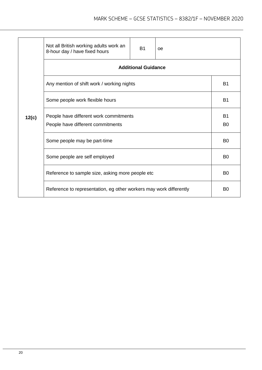|       | Not all British working adults work an<br>8-hour day / have fixed hours     | <b>B1</b> | oe        |  |  |
|-------|-----------------------------------------------------------------------------|-----------|-----------|--|--|
|       | <b>Additional Guidance</b>                                                  |           |           |  |  |
|       | Any mention of shift work / working nights                                  |           |           |  |  |
|       | Some people work flexible hours                                             |           | <b>B1</b> |  |  |
| 12(c) | People have different work commitments<br>People have different commitments |           |           |  |  |
|       | Some people may be part-time                                                |           |           |  |  |
|       | Some people are self employed                                               |           |           |  |  |
|       | Reference to sample size, asking more people etc                            |           |           |  |  |
|       | Reference to representation, eg other workers may work differently          |           |           |  |  |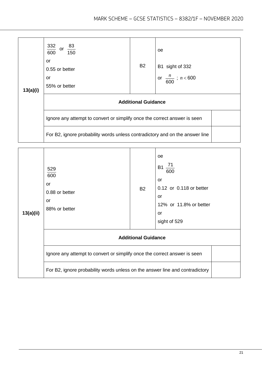| 13(a)(i) | $\frac{332}{600}$<br>or $\frac{83}{150}$<br>or<br>0.55 or better<br>or<br>55% or better | <b>B2</b> | <sub>oe</sub><br>B1 sight of 332<br>$\frac{n}{600}$ ; <i>n</i> <600 |  |  |
|----------|-----------------------------------------------------------------------------------------|-----------|---------------------------------------------------------------------|--|--|
|          | <b>Additional Guidance</b>                                                              |           |                                                                     |  |  |
|          | Ignore any attempt to convert or simplify once the correct answer is seen               |           |                                                                     |  |  |
|          | For B2, ignore probability words unless contradictory and on the answer line            |           |                                                                     |  |  |

| 13(a)(ii) | 529<br>600<br>or<br>0.88 or better<br>or<br>88% or better                    | <b>B2</b>                  | oe<br>$\frac{71}{1}$<br><b>B1</b><br>600<br>or<br>0.12 or 0.118 or better<br>or<br>12% or 11.8% or better<br>or<br>sight of 529 |
|-----------|------------------------------------------------------------------------------|----------------------------|---------------------------------------------------------------------------------------------------------------------------------|
|           |                                                                              | <b>Additional Guidance</b> |                                                                                                                                 |
|           | Ignore any attempt to convert or simplify once the correct answer is seen    |                            |                                                                                                                                 |
|           | For B2, ignore probability words unless on the answer line and contradictory |                            |                                                                                                                                 |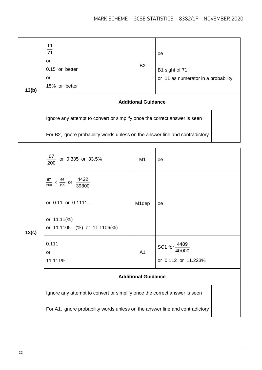| 13(b) | $\frac{11}{71}$<br>or<br>0.15 or better<br>or<br>15% or better               | <b>B2</b> | oe<br>B1 sight of 71<br>or 11 as numerator in a probability |  |  |
|-------|------------------------------------------------------------------------------|-----------|-------------------------------------------------------------|--|--|
|       | <b>Additional Guidance</b>                                                   |           |                                                             |  |  |
|       | Ignore any attempt to convert or simplify once the correct answer is seen    |           |                                                             |  |  |
|       | For B2, ignore probability words unless on the answer line and contradictory |           |                                                             |  |  |

|       | 67<br>or 0.335 or 33.5%<br>200                                               | M <sub>1</sub>     | oe                  |  |
|-------|------------------------------------------------------------------------------|--------------------|---------------------|--|
|       | $\frac{67}{200} \times \frac{66}{199}$ or $\frac{4422}{39800}$               |                    |                     |  |
|       | or 0.11 or 0.1111                                                            | M <sub>1</sub> dep | oe                  |  |
|       | or 11.11(%)                                                                  |                    |                     |  |
| 13(c) | or 11.1105(%) or 11.1106(%)                                                  |                    |                     |  |
|       | 0.111                                                                        |                    | 4489<br>SC1 for-    |  |
|       | <b>or</b>                                                                    | A <sub>1</sub>     | 40000               |  |
|       | 11.111%                                                                      |                    | or 0.112 or 11.223% |  |
|       | <b>Additional Guidance</b>                                                   |                    |                     |  |
|       | Ignore any attempt to convert or simplify once the correct answer is seen    |                    |                     |  |
|       | For A1, ignore probability words unless on the answer line and contradictory |                    |                     |  |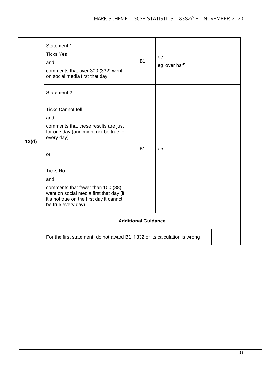|       | Statement 1:<br><b>Ticks Yes</b><br>and<br>comments that over 300 (332) went<br>on social media first that day                                                                                                                                                                                                                                                                                                   | <b>B1</b>                               | <b>oe</b><br>eg 'over half' |
|-------|------------------------------------------------------------------------------------------------------------------------------------------------------------------------------------------------------------------------------------------------------------------------------------------------------------------------------------------------------------------------------------------------------------------|-----------------------------------------|-----------------------------|
| 13(d) | Statement 2:<br><b>Ticks Cannot tell</b><br>and<br>comments that these results are just<br>for one day (and might not be true for<br>every day)<br>or<br><b>Ticks No</b><br>and<br>comments that fewer than 100 (88)<br>went on social media first that day (if<br>it's not true on the first day it cannot<br>be true every day)<br>For the first statement, do not award B1 if 332 or its calculation is wrong | <b>B1</b><br><b>Additional Guidance</b> | <b>oe</b>                   |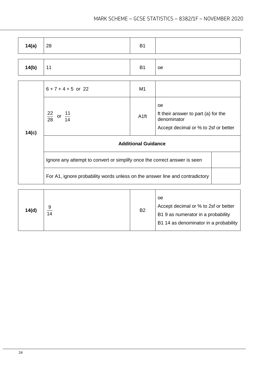| 14(a) | 28                                                                           | <b>B1</b>        |                                                                                                  |  |
|-------|------------------------------------------------------------------------------|------------------|--------------------------------------------------------------------------------------------------|--|
|       |                                                                              |                  |                                                                                                  |  |
| 14(b) | 11                                                                           | <b>B1</b>        | oe                                                                                               |  |
|       |                                                                              |                  |                                                                                                  |  |
|       | $6 + 7 + 4 + 5$ or 22                                                        | M <sub>1</sub>   |                                                                                                  |  |
| 14(c) | $\frac{22}{28}$ or $\frac{11}{14}$                                           | A <sub>1ft</sub> | oe<br>ft their answer to part (a) for the<br>denominator<br>Accept decimal or % to 2sf or better |  |
|       | <b>Additional Guidance</b>                                                   |                  |                                                                                                  |  |
|       | Ignore any attempt to convert or simplify once the correct answer is seen    |                  |                                                                                                  |  |
|       | For A1, ignore probability words unless on the answer line and contradictory |                  |                                                                                                  |  |
|       |                                                                              |                  |                                                                                                  |  |

| 14(d) | 9<br>14 | <b>B2</b> | oe<br>Accept decimal or % to 2sf or better<br>B1 9 as numerator in a probability<br>B1 14 as denominator in a probability |
|-------|---------|-----------|---------------------------------------------------------------------------------------------------------------------------|
|-------|---------|-----------|---------------------------------------------------------------------------------------------------------------------------|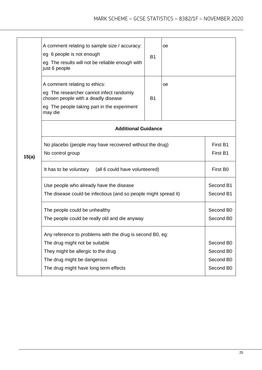| 15(a) | A comment relating to sample size / accuracy:<br>eg 6 people is not enough<br>eg The results will not be reliable enough with<br>just 6 people                             | <b>B1</b>              | oе |  |  |  |
|-------|----------------------------------------------------------------------------------------------------------------------------------------------------------------------------|------------------------|----|--|--|--|
|       | A comment relating to ethics:<br>eg The researcher cannot infect randomly<br>chosen people with a deadly disease<br>eg The people taking part in the experiment<br>may die | <b>B1</b>              | 0e |  |  |  |
|       | <b>Additional Guidance</b>                                                                                                                                                 |                        |    |  |  |  |
|       | No placebo (people may have recovered without the drug)<br>No control group                                                                                                | First B1<br>First B1   |    |  |  |  |
|       | It has to be voluntary (all 6 could have volunteered)                                                                                                                      |                        |    |  |  |  |
|       | Use people who already have the disease<br>The disease could be infectious (and so people might spread it)                                                                 | Second B1<br>Second B1 |    |  |  |  |
|       | The people could be unhealthy<br>The people could be really old and die anyway                                                                                             |                        |    |  |  |  |
|       | Any reference to problems with the drug is second B0, eg:                                                                                                                  |                        |    |  |  |  |
|       | The drug might not be suitable                                                                                                                                             | Second B0              |    |  |  |  |
|       | They might be allergic to the drug                                                                                                                                         |                        |    |  |  |  |
|       | The drug might be dangerous                                                                                                                                                |                        |    |  |  |  |
|       | The drug might have long term effects                                                                                                                                      | Second B0              |    |  |  |  |